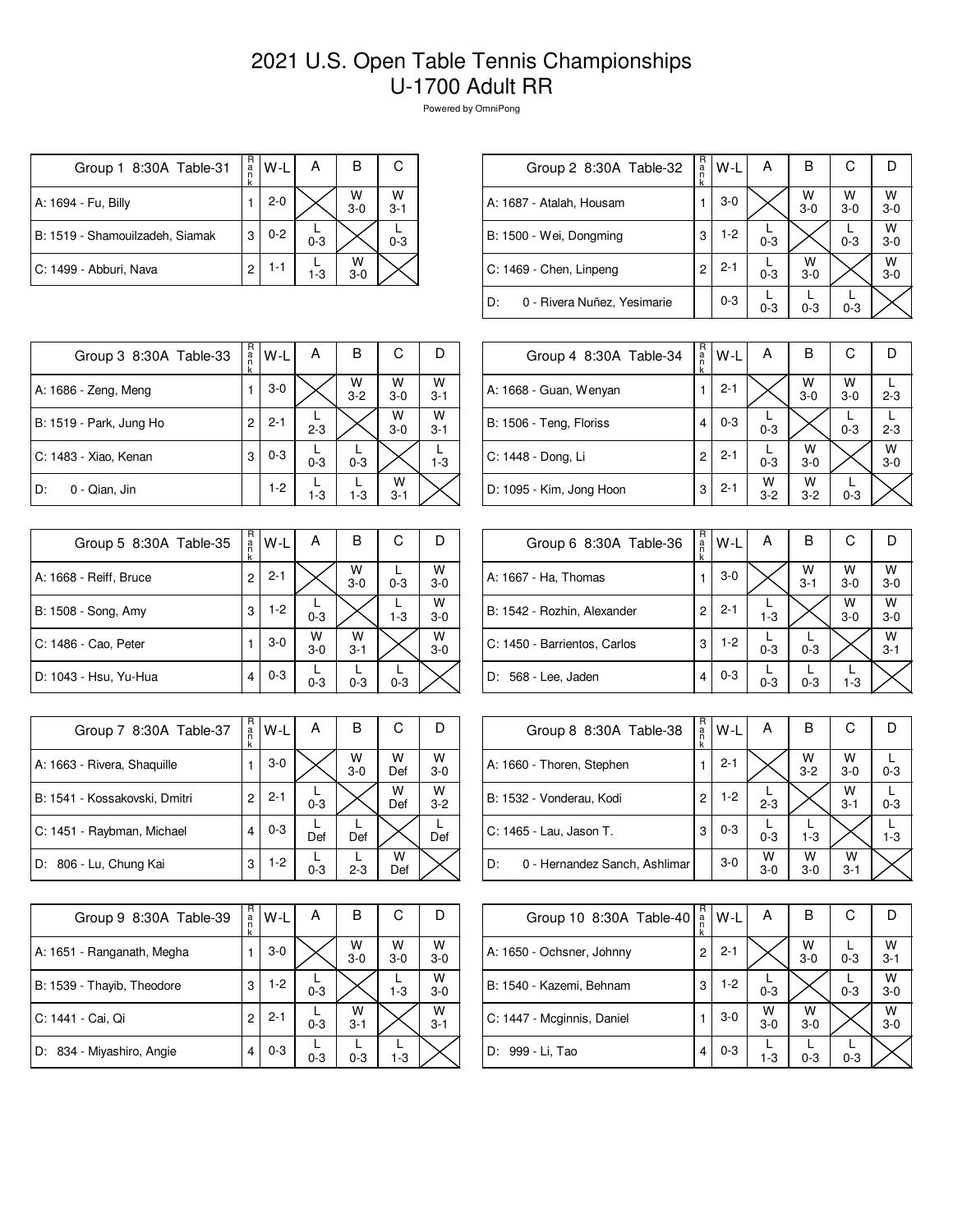## 2021 U.S. Open Table Tennis Championships U-1700 Adult RR

Powered by OmniPong

| Group 1 8:30A Table-31          | R<br>.<br>n | W-L     | А       | в            | С            |
|---------------------------------|-------------|---------|---------|--------------|--------------|
| A: 1694 - Fu, Billy             |             | $2 - 0$ |         | W<br>$3 - 0$ | W<br>$3 - 1$ |
| B: 1519 - Shamouilzadeh, Siamak | 3           | $0 - 2$ | $0 - 3$ |              | $0 - 3$      |
| C: 1499 - Abburi, Nava          | 2           | $1 - 1$ | 1-3     | W<br>$3-0$   |              |

| Group 2 8:30A Table-32            | R<br>a<br>n<br>k | W-L     | Α       | в            | С            |              |
|-----------------------------------|------------------|---------|---------|--------------|--------------|--------------|
| A: 1687 - Atalah, Housam          |                  | $3-0$   |         | W<br>$3 - 0$ | W<br>$3 - 0$ | W<br>$3-0$   |
| B: 1500 - Wei, Dongming           | 3                | $1-2$   | $0 - 3$ |              | $0 - 3$      | w<br>$3-0$   |
| C: 1469 - Chen, Linpeng           | 2                | $2 - 1$ | $0 - 3$ | w<br>$3-0$   |              | W<br>$3 - 0$ |
| D:<br>0 - Rivera Nuñez, Yesimarie |                  | $0 - 3$ | $0 - 3$ | $0 - 3$      | $0 - 3$      |              |
|                                   |                  |         |         |              |              |              |

| Group 3 8:30A Table-33  | R<br>a<br>n<br>k | W-L     | А       | в            | С            |                    |
|-------------------------|------------------|---------|---------|--------------|--------------|--------------------|
| A: 1686 - Zeng, Meng    |                  | $3-0$   |         | W<br>$3 - 2$ | W<br>$3-0$   | $W$ <sub>3-1</sub> |
| B: 1519 - Park, Jung Ho | 2                | $2 - 1$ | $2 - 3$ |              | W<br>$3-0$   | W<br>$3 - 1$       |
| C: 1483 - Xiao, Kenan   | 3                | $0 - 3$ | $0 - 3$ | $0 - 3$      |              | $1 - 3$            |
| 0 - Qian, Jin<br>D:     |                  | $1-2$   | $1 - 3$ | $1 - 3$      | W<br>$3 - 1$ |                    |

| Group 5 8:30A Table-35 | R<br>a<br>n | W-L     | А            | в            | С       |              |
|------------------------|-------------|---------|--------------|--------------|---------|--------------|
| A: 1668 - Reiff, Bruce | k<br>2      | $2 - 1$ |              | W<br>$3-0$   | $0 - 3$ | W<br>$3 - 0$ |
| B: 1508 - Song, Amy    | 3           | $1-2$   | $0 - 3$      |              | $1 - 3$ | W<br>$3-0$   |
| C: 1486 - Cao, Peter   |             | $3-0$   | W<br>$3 - 0$ | W<br>$3 - 1$ |         | w<br>$3 - 0$ |
| D: 1043 - Hsu, Yu-Hua  | 4           | $0 - 3$ | $0 - 3$      | $0 - 3$      | $0 - 3$ |              |

| Group 7 8:30A Table-37        | R<br>a<br>k | W-L     | Α       | B          | С        |              |
|-------------------------------|-------------|---------|---------|------------|----------|--------------|
| A: 1663 - Rivera, Shaquille   |             | $3-0$   |         | W<br>$3-0$ | W<br>Def | W<br>$3 - 0$ |
| B: 1541 - Kossakovski, Dmitri | 2           | $2 - 1$ | $0 - 3$ |            | w<br>Def | W<br>$3 - 2$ |
| C: 1451 - Raybman, Michael    | 4           | $0 - 3$ | Def     | Def        |          | Def          |
| D: 806 - Lu, Chung Kai        | 3           | $1-2$   | $0 - 3$ | $2 - 3$    | w<br>Def |              |

| Group 9 8:30A Table-39     | R<br>a<br>k | W-L     | А       | в            | С            | D            |
|----------------------------|-------------|---------|---------|--------------|--------------|--------------|
| A: 1651 - Ranganath, Megha |             | $3-0$   |         | W<br>$3-0$   | W<br>$3 - 0$ | W<br>$3 - 0$ |
| B: 1539 - Thayib, Theodore | 3           | $1-2$   | $0 - 3$ |              | $1 - 3$      | w<br>$3-0$   |
| C: 1441 - Cai, Qi          | 2           | $2 - 1$ | $0 - 3$ | w<br>$3 - 1$ |              | W<br>$3 - 1$ |
| D: 834 - Miyashiro, Angie  | 4           | $0 - 3$ | $0 - 3$ | $0 - 3$      | $1-3$        |              |

| Group 4 8:30A Table-34   | R<br>a<br>n<br>k | $W-L$   | A            | B            | С          | D            |
|--------------------------|------------------|---------|--------------|--------------|------------|--------------|
| A: 1668 - Guan, Wenyan   |                  | $2 - 1$ |              | W<br>$3-0$   | W<br>$3-0$ | $2 - 3$      |
| B: 1506 - Teng, Floriss  | 4                | $0 - 3$ | $0 - 3$      |              | $0 - 3$    | $2 - 3$      |
| C: 1448 - Dong, Li       | 2                | $2 - 1$ | $0 - 3$      | W<br>$3 - 0$ |            | W<br>$3 - 0$ |
| D: 1095 - Kim, Jong Hoon | 3                | $2 - 1$ | W<br>$3 - 2$ | w<br>$3 - 2$ | $0 - 3$    |              |

| Group 6 8:30A Table-36       | R<br>a<br>n | W-L     | Α       | в            | С          |              |
|------------------------------|-------------|---------|---------|--------------|------------|--------------|
| A: 1667 - Ha, Thomas         |             | $3-0$   |         | W<br>$3 - 1$ | W<br>$3-0$ | W<br>$3-0$   |
| B: 1542 - Rozhin, Alexander  | 2           | $2 - 1$ | $1 - 3$ |              | W<br>$3-0$ | W<br>$3-0$   |
| C: 1450 - Barrientos, Carlos | 3           | 1-2     | $0 - 3$ | $0 - 3$      |            | W<br>$3 - 1$ |
| D: 568 - Lee, Jaden          | 4           | $0 - 3$ | $0 - 3$ | $0 - 3$      | 1-3        |              |

| Group 8 8:30A Table-38              | R<br>a<br>n | W-L     | Α          | В                  | С            |         |
|-------------------------------------|-------------|---------|------------|--------------------|--------------|---------|
| A: 1660 - Thoren, Stephen           |             | $2 - 1$ |            | $W$ <sub>3-2</sub> | W<br>$3-0$   | $0 - 3$ |
| B: 1532 - Vonderau, Kodi            | 2           | $1-2$   | $2 - 3$    |                    | W<br>$3 - 1$ | $0 - 3$ |
| C: 1465 - Lau, Jason T.             | 3           | $0 - 3$ | $0 - 3$    | $1 - 3$            |              | $1 - 3$ |
| 0 - Hernandez Sanch, Ashlimar<br>D: |             | $3-0$   | W<br>$3-0$ | w<br>$3-0$         | w<br>$3 - 1$ |         |

| Group 10 8:30A Table-40    | R<br>a | W-L     | А          | В            | С       |              |
|----------------------------|--------|---------|------------|--------------|---------|--------------|
| A: 1650 - Ochsner, Johnny  | 2      | $2 - 1$ |            | W<br>$3 - 0$ | $0 - 3$ | W<br>$3 - 1$ |
| B: 1540 - Kazemi, Behnam   | 3      | $1-2$   | $0 - 3$    |              | $0 - 3$ | W<br>$3 - 0$ |
| C: 1447 - Mcginnis, Daniel |        | $3-0$   | W<br>$3-0$ | w<br>$3 - 0$ |         | W<br>$3 - 0$ |
| D: 999 - Li, Tao           |        | $0 - 3$ | $1 - 3$    | $0 - 3$      | $0 - 3$ |              |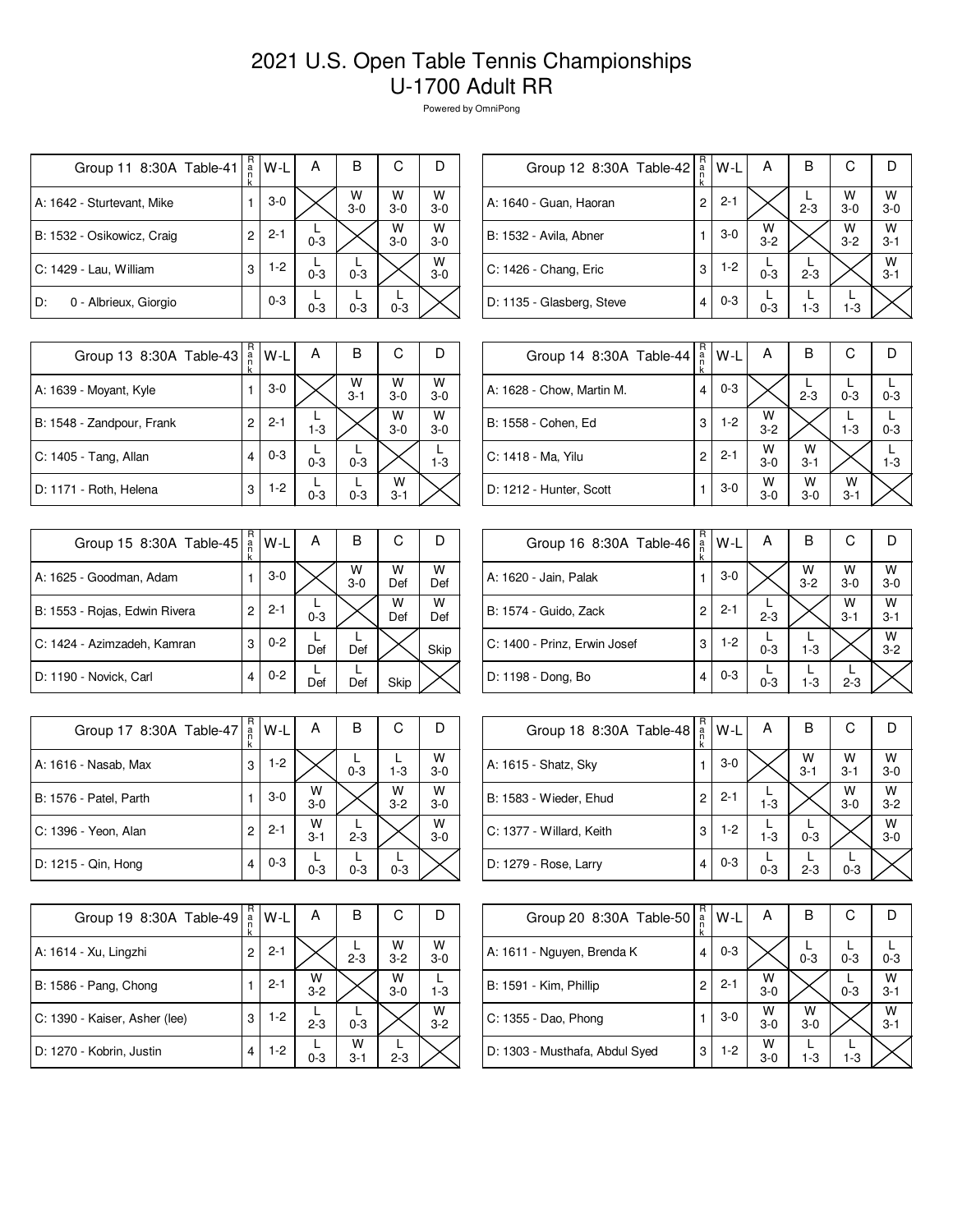## 2021 U.S. Open Table Tennis Championships U-1700 Adult RR

Powered by OmniPong

| Group 11 8:30A Table-41     | R<br>a<br>n<br>k | W-L     | А       | в          | С          |            |
|-----------------------------|------------------|---------|---------|------------|------------|------------|
| A: 1642 - Sturtevant, Mike  |                  | $3-0$   |         | W<br>$3-0$ | w<br>$3-0$ | W<br>$3-0$ |
| B: 1532 - Osikowicz, Craig  | 2                | $2 - 1$ | $0 - 3$ |            | W<br>$3-0$ | w<br>$3-0$ |
| C: 1429 - Lau, William      | 3                | $1-2$   | $0 - 3$ | $0 - 3$    |            | W<br>$3-0$ |
| 0 - Albrieux, Giorgio<br>D: |                  | $0 - 3$ | $0 - 3$ | $0 - 3$    | $0 - 3$    |            |

| Group 12 8:30A Table-42       | R<br>$\frac{a}{n}$<br>k | W-L     | Α            | в       | С            |              |
|-------------------------------|-------------------------|---------|--------------|---------|--------------|--------------|
| A: 1640 - Guan, Haoran        | 2                       | $2 - 1$ |              | $2 - 3$ | W<br>$3-0$   | W<br>$3 - 0$ |
| <b>B: 1532 - Avila, Abner</b> |                         | $3-0$   | W<br>$3 - 2$ |         | W<br>$3 - 2$ | W<br>$3 - 1$ |
| C: 1426 - Chang, Eric         | 3                       | $1-2$   | $0 - 3$      | $2 - 3$ |              | W<br>$3 - 1$ |
| D: 1135 - Glasberg, Steve     | 4                       | $0 - 3$ | $0 - 3$      | $1 - 3$ | $1-3$        |              |
|                               |                         |         |              |         |              |              |

| Group 13 8:30A Table-43   | R<br>a<br>k | W-L     | А       | В            | С            |              |
|---------------------------|-------------|---------|---------|--------------|--------------|--------------|
| A: 1639 - Moyant, Kyle    |             | $3-0$   |         | W<br>$3 - 1$ | W<br>$3-0$   | W<br>$3-0$   |
| B: 1548 - Zandpour, Frank | 2           | $2 - 1$ | $1 - 3$ |              | W<br>$3-0$   | W<br>$3 - 0$ |
| C: 1405 - Tang, Allan     | 4           | $0 - 3$ | $0 - 3$ | $0 - 3$      |              | $1 - 3$      |
| D: 1171 - Roth, Helena    | 3           | $1-2$   | $0 - 3$ | $0 - 3$      | W<br>$3 - 1$ |              |

| Group 15 8:30A Table-45       | R<br>a<br>k | W-L     | А       | в          | С        |          |
|-------------------------------|-------------|---------|---------|------------|----------|----------|
| A: 1625 - Goodman, Adam       |             | $3-0$   |         | W<br>$3-0$ | W<br>Def | W<br>Def |
| B: 1553 - Rojas, Edwin Rivera | 2           | $2 - 1$ | $0 - 3$ |            | W<br>Def | w<br>Def |
| C: 1424 - Azimzadeh, Kamran   | 3           | $0 - 2$ | Def     | Def        |          | Skip     |
| D: 1190 - Novick, Carl        | 4           | $0 - 2$ | Def     | Def        | Skip     |          |

| Group 17 8:30A Table-47 | R<br>a<br>n<br>k | W-L     | А            | в       | С            |              |
|-------------------------|------------------|---------|--------------|---------|--------------|--------------|
| A: 1616 - Nasab, Max    | 3                | $1 - 2$ |              | $0 - 3$ | $1 - 3$      | W<br>$3 - 0$ |
| B: 1576 - Patel, Parth  |                  | $3-0$   | W<br>$3 - 0$ |         | W<br>$3 - 2$ | W<br>$3 - 0$ |
| C: 1396 - Yeon, Alan    | 2                | $2 - 1$ | W<br>$3 - 1$ | $2 - 3$ |              | W<br>$3-0$   |
| D: 1215 - Qin, Hong     | 4                | $0 - 3$ | $0 - 3$      | $0 - 3$ | $0 - 3$      |              |

| Group 19 8:30A Table-49       | R<br>a<br>k | W-L     | А            | В            | С            |              |
|-------------------------------|-------------|---------|--------------|--------------|--------------|--------------|
| A: 1614 - Xu, Lingzhi         | 2           | $2 - 1$ |              | $2 - 3$      | W<br>$3 - 2$ | W<br>$3 - 0$ |
| B: 1586 - Pang, Chong         |             | $2 - 1$ | W<br>$3 - 2$ |              | w<br>$3-0$   | $1 - 3$      |
| C: 1390 - Kaiser, Asher (lee) | 3           | $1-2$   | $2 - 3$      | $0 - 3$      |              | W<br>$3 - 2$ |
| D: 1270 - Kobrin, Justin      | 4           | 1-2     | $0 - 3$      | w<br>$3 - 1$ | $2 - 3$      |              |

| Group 14 8:30A Table-44   | R<br>a<br>n<br>k | W-L     | A            | в            | С            |         |
|---------------------------|------------------|---------|--------------|--------------|--------------|---------|
| A: 1628 - Chow, Martin M. | 4                | $0 - 3$ |              | $2 - 3$      | $0 - 3$      | $0 - 3$ |
| B: 1558 - Cohen, Ed       | 3                | $1-2$   | W<br>$3 - 2$ |              | $1 - 3$      | $0 - 3$ |
| C: 1418 - Ma, Yilu        | 2                | $2 - 1$ | W<br>$3-0$   | w<br>$3 - 1$ |              | $1 - 3$ |
| D: 1212 - Hunter, Scott   |                  | $3-0$   | W<br>$3-0$   | W<br>$3-0$   | W<br>$3 - 1$ |         |

| Group 16 8:30A Table-46      | R<br>a | W-L     | А       | в            | С            |              |
|------------------------------|--------|---------|---------|--------------|--------------|--------------|
| A: 1620 - Jain, Palak        |        | $3-0$   |         | W<br>$3 - 2$ | W<br>$3 - 0$ | W<br>$3-0$   |
| B: 1574 - Guido, Zack        | 2      | $2 - 1$ | $2 - 3$ |              | W<br>$3 - 1$ | W<br>$3 - 1$ |
| C: 1400 - Prinz, Erwin Josef | 3      | $1-2$   | $0 - 3$ | $1 - 3$      |              | W<br>$3 - 2$ |
| D: 1198 - Dong, Bo           | 4      | $0 - 3$ | $0 - 3$ | $1 - 3$      | $2 - 3$      |              |

| Group 18 8:30A Table-48  | R<br>$\frac{a}{n}$ | W-L     | Α       | в               | С            |              |
|--------------------------|--------------------|---------|---------|-----------------|--------------|--------------|
| A: 1615 - Shatz, Sky     |                    | $3-0$   |         | $\frac{W}{3-1}$ | w<br>$3 - 1$ | W<br>$3 - 0$ |
| B: 1583 - Wieder, Ehud   | 2                  | $2 - 1$ | $1 - 3$ |                 | W<br>$3-0$   | W<br>$3 - 2$ |
| C: 1377 - Willard, Keith | 3                  | $1-2$   | $1 - 3$ | $0 - 3$         |              | W<br>$3-0$   |
| D: 1279 - Rose, Larry    | 4                  | $0 - 3$ | $0 - 3$ | $2 - 3$         | $0 - 3$      |              |

| Group 20 8:30A Table-50        | R<br>a | $W-L$   | А          | В          | С       |              |
|--------------------------------|--------|---------|------------|------------|---------|--------------|
| A: 1611 - Nguyen, Brenda K     | 4      | $0 - 3$ |            | $0 - 3$    | $0 - 3$ | $0 - 3$      |
| B: 1591 - Kim, Phillip         | 2      | $2 - 1$ | W<br>$3-0$ |            | $0 - 3$ | W<br>$3 - 1$ |
| C: 1355 - Dao, Phong           |        | $3-0$   | W<br>$3-0$ | w<br>$3-0$ |         | w<br>$3 - 1$ |
| D: 1303 - Musthafa, Abdul Syed | 3      | $1-2$   | W<br>$3-0$ | $1 - 3$    | $1 - 3$ |              |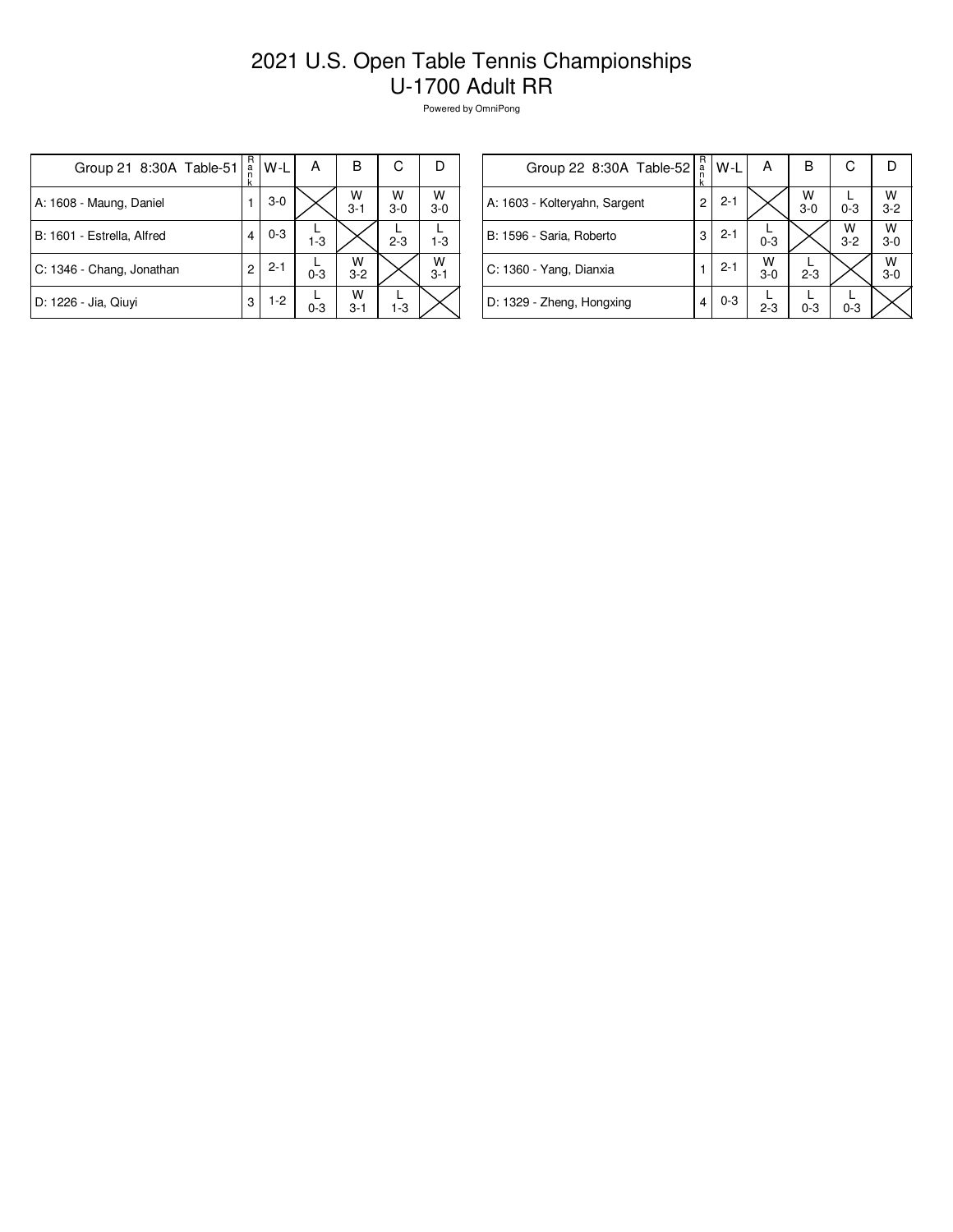## 2021 U.S. Open Table Tennis Championships U-1700 Adult RR

Powered by OmniPong

| Group 21 8:30A Table-51    | R<br>.<br>n<br>k | $W-L$   | А       | B            | С          | Ð                  |
|----------------------------|------------------|---------|---------|--------------|------------|--------------------|
| A: 1608 - Maung, Daniel    |                  | $3-0$   |         | W<br>$3 - 1$ | W<br>$3-0$ | $W$ <sub>3-0</sub> |
| B: 1601 - Estrella, Alfred | 4                | $0 - 3$ | $1 - 3$ |              | $2 - 3$    | $1 - 3$            |
| C: 1346 - Chang, Jonathan  | 2                | $2 - 1$ | $0 - 3$ | W<br>$3 - 2$ |            | W<br>$3 - 1$       |
| D: 1226 - Jia, Qiuyi       | 3                | $1-2$   | $0 - 3$ | w<br>$3 - 1$ | $1 - 3$    |                    |

| Group 22 8:30A Table-52       | R<br>$\frac{a}{n}$<br>k | W-L     | Α          | в          | С            |                    |
|-------------------------------|-------------------------|---------|------------|------------|--------------|--------------------|
| A: 1603 - Kolteryahn, Sargent | 2                       | $2 - 1$ |            | W<br>$3-0$ | $0 - 3$      | $W$ <sub>3-2</sub> |
| B: 1596 - Saria, Roberto      | 3                       | $2 - 1$ | $0 - 3$    |            | W<br>$3 - 2$ | W<br>$3-0$         |
| C: 1360 - Yang, Dianxia       |                         | $2 - 1$ | W<br>$3-0$ | $2 - 3$    |              | W<br>$3-0$         |
| D: 1329 - Zheng, Hongxing     | 4                       | $0 - 3$ | $2 - 3$    | $0 - 3$    | $0 - 3$      |                    |